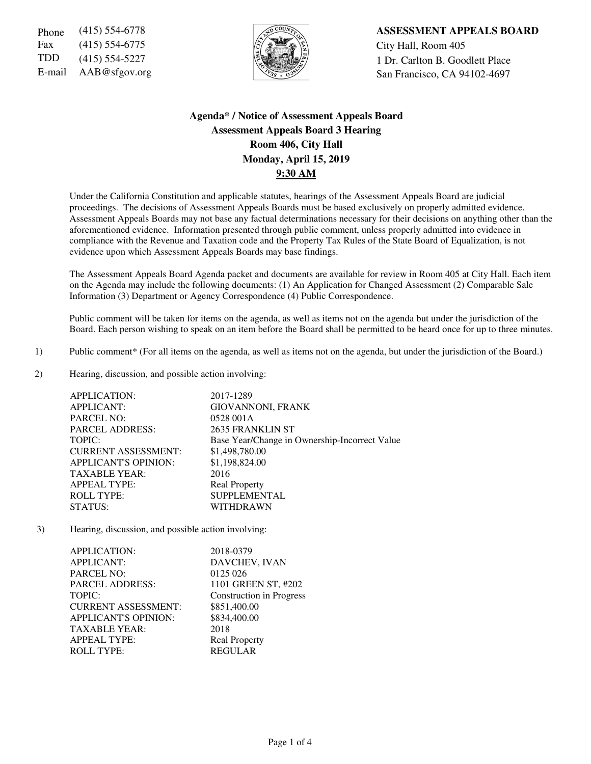Fax (415) 554-6775  $\sqrt{5}$   $\sqrt{2}$   $\sqrt{2}$  City Hall, Room 405 TDD  $(415)$  554-5227  $\left|\frac{1}{2}\right|$  1 Dr. Carlton B. Goodlett Place



Phone (415) 554-6778 **ASSESSMENT APPEALS BOARD** 

E-mail AAB@sfgov.org San Francisco, CA 94102-4697

# **Agenda\* / Notice of Assessment Appeals Board Assessment Appeals Board 3 Hearing Room 406, City Hall Monday, April 15, 2019 9:30 AM**

Under the California Constitution and applicable statutes, hearings of the Assessment Appeals Board are judicial proceedings. The decisions of Assessment Appeals Boards must be based exclusively on properly admitted evidence. Assessment Appeals Boards may not base any factual determinations necessary for their decisions on anything other than the aforementioned evidence. Information presented through public comment, unless properly admitted into evidence in compliance with the Revenue and Taxation code and the Property Tax Rules of the State Board of Equalization, is not evidence upon which Assessment Appeals Boards may base findings.

The Assessment Appeals Board Agenda packet and documents are available for review in Room 405 at City Hall. Each item on the Agenda may include the following documents: (1) An Application for Changed Assessment (2) Comparable Sale Information (3) Department or Agency Correspondence (4) Public Correspondence.

Public comment will be taken for items on the agenda, as well as items not on the agenda but under the jurisdiction of the Board. Each person wishing to speak on an item before the Board shall be permitted to be heard once for up to three minutes.

- 1) Public comment\* (For all items on the agenda, as well as items not on the agenda, but under the jurisdiction of the Board.)
- 2) Hearing, discussion, and possible action involving:

| <b>APPLICATION:</b>         | 2017-1289                                     |
|-----------------------------|-----------------------------------------------|
| <b>APPLICANT:</b>           | <b>GIOVANNONI, FRANK</b>                      |
| <b>PARCEL NO:</b>           | 0528 001A                                     |
| <b>PARCEL ADDRESS:</b>      | 2635 FRANKLIN ST                              |
| TOPIC:                      | Base Year/Change in Ownership-Incorrect Value |
| <b>CURRENT ASSESSMENT:</b>  | \$1,498,780.00                                |
| <b>APPLICANT'S OPINION:</b> | \$1,198,824.00                                |
| <b>TAXABLE YEAR:</b>        | 2016                                          |
| <b>APPEAL TYPE:</b>         | <b>Real Property</b>                          |
| <b>ROLL TYPE:</b>           | <b>SUPPLEMENTAL</b>                           |
| STATUS:                     | WITHDRAWN                                     |

3) Hearing, discussion, and possible action involving:

| APPLICATION:                | 2018-0379                       |
|-----------------------------|---------------------------------|
| <b>APPLICANT:</b>           | DAVCHEV, IVAN                   |
| <b>PARCEL NO:</b>           | 0125 026                        |
| <b>PARCEL ADDRESS:</b>      | 1101 GREEN ST, #202             |
| TOPIC:                      | <b>Construction in Progress</b> |
| <b>CURRENT ASSESSMENT:</b>  | \$851,400.00                    |
| <b>APPLICANT'S OPINION:</b> | \$834,400.00                    |
| <b>TAXABLE YEAR:</b>        | 2018                            |
| <b>APPEAL TYPE:</b>         | <b>Real Property</b>            |
| <b>ROLL TYPE:</b>           | <b>REGULAR</b>                  |
|                             |                                 |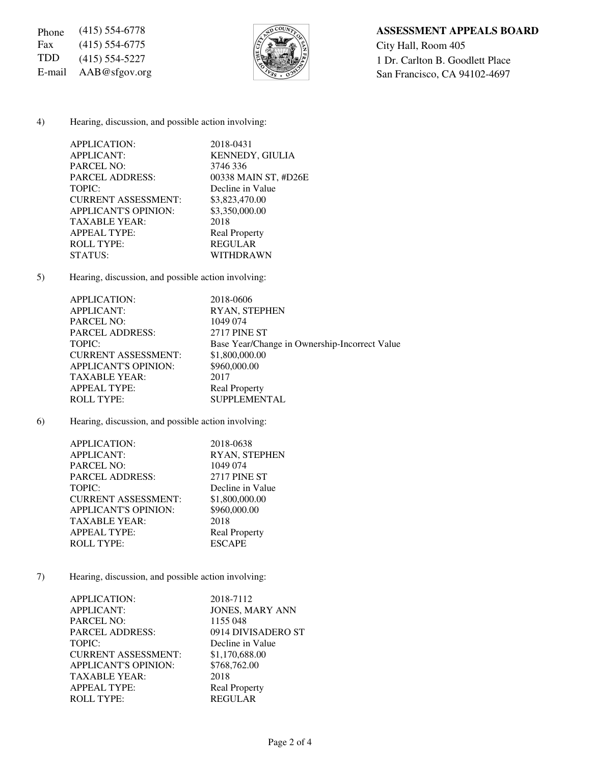Fax (415) 554-6775  $\sqrt{\frac{5}{2}}$  City Hall, Room 405



# Phone (415) 554-6778 **ASSESSMENT APPEALS BOARD**

TDD (415) 554-5227  $\left[\frac{1}{2}\right]$  1 Dr. Carlton B. Goodlett Place E-mail AAB@sfgov.org San Francisco, CA 94102-4697

### 4) Hearing, discussion, and possible action involving:

| APPLICATION:                | 2018-0431              |
|-----------------------------|------------------------|
| <b>APPLICANT:</b>           | <b>KENNEDY, GIULIA</b> |
| <b>PARCEL NO:</b>           | 3746 336               |
| <b>PARCEL ADDRESS:</b>      | 00338 MAIN ST, #D26E   |
| TOPIC:                      | Decline in Value       |
| <b>CURRENT ASSESSMENT:</b>  | \$3,823,470.00         |
| <b>APPLICANT'S OPINION:</b> | \$3,350,000.00         |
| <b>TAXABLE YEAR:</b>        | 2018                   |
| <b>APPEAL TYPE:</b>         | <b>Real Property</b>   |
| <b>ROLL TYPE:</b>           | <b>REGULAR</b>         |
| STATUS:                     | WITHDRAWN              |
|                             |                        |

5) Hearing, discussion, and possible action involving:

| <b>APPLICATION:</b>         | 2018-0606                                     |
|-----------------------------|-----------------------------------------------|
| <b>APPLICANT:</b>           | <b>RYAN, STEPHEN</b>                          |
| <b>PARCEL NO:</b>           | 1049 074                                      |
| <b>PARCEL ADDRESS:</b>      | 2717 PINE ST                                  |
| TOPIC:                      | Base Year/Change in Ownership-Incorrect Value |
| <b>CURRENT ASSESSMENT:</b>  | \$1,800,000.00                                |
| <b>APPLICANT'S OPINION:</b> | \$960,000.00                                  |
| <b>TAXABLE YEAR:</b>        | 2017                                          |
| <b>APPEAL TYPE:</b>         | <b>Real Property</b>                          |
| <b>ROLL TYPE:</b>           | <b>SUPPLEMENTAL</b>                           |

6) Hearing, discussion, and possible action involving:

| APPLICATION:                | 2018-0638            |
|-----------------------------|----------------------|
| <b>APPLICANT:</b>           | RYAN, STEPHEN        |
| <b>PARCEL NO:</b>           | 1049 074             |
| <b>PARCEL ADDRESS:</b>      | <b>2717 PINE ST</b>  |
| TOPIC:                      | Decline in Value     |
| <b>CURRENT ASSESSMENT:</b>  | \$1,800,000.00       |
| <b>APPLICANT'S OPINION:</b> | \$960,000.00         |
| <b>TAXABLE YEAR:</b>        | 2018                 |
| <b>APPEAL TYPE:</b>         | <b>Real Property</b> |
| <b>ROLL TYPE:</b>           | <b>ESCAPE</b>        |

7) Hearing, discussion, and possible action involving:

| APPLICATION:                | 2018-7112              |
|-----------------------------|------------------------|
| <b>APPLICANT:</b>           | <b>JONES, MARY ANN</b> |
| <b>PARCEL NO:</b>           | 1155 048               |
| <b>PARCEL ADDRESS:</b>      | 0914 DIVISADERO ST     |
| TOPIC:                      | Decline in Value       |
| <b>CURRENT ASSESSMENT:</b>  | \$1,170,688.00         |
| <b>APPLICANT'S OPINION:</b> | \$768,762.00           |
| <b>TAXABLE YEAR:</b>        | 2018                   |
| <b>APPEAL TYPE:</b>         | <b>Real Property</b>   |
| <b>ROLL TYPE:</b>           | <b>REGULAR</b>         |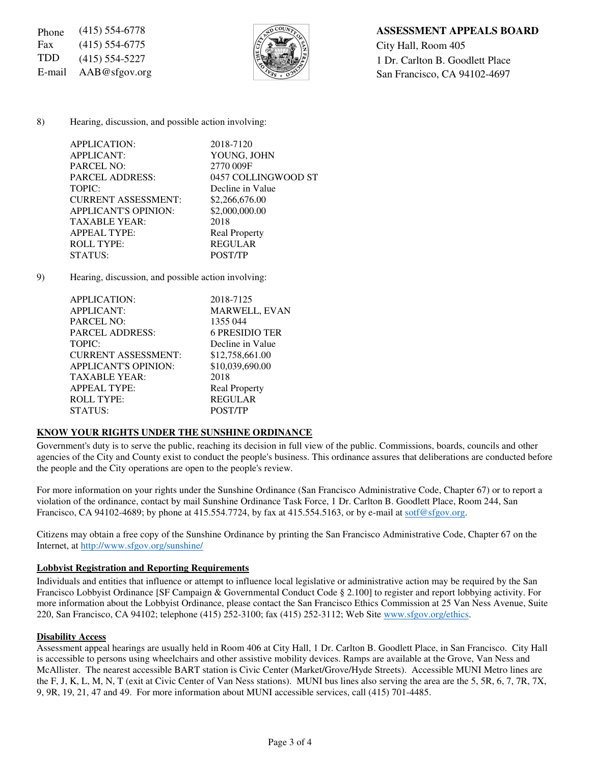Fax (415) 554-6775  $\sqrt{5}$   $\sqrt{2}$   $\sqrt{2}$   $\sqrt{2}$  City Hall, Room 405



## Phone (415) 554-6778 **ASSESSMENT APPEALS BOARD**

TDD (415) 554-5227  $\left|\frac{1}{2}\right| \left|\frac{1}{2}\right|$  1 Dr. Carlton B. Goodlett Place E-mail AAB@sfgov.org San Francisco, CA 94102-4697

### 8) Hearing, discussion, and possible action involving:

| APPLICATION:               | 2018-7120            |
|----------------------------|----------------------|
| <b>APPLICANT:</b>          | YOUNG, JOHN          |
| <b>PARCEL NO:</b>          | 2770 009F            |
| <b>PARCEL ADDRESS:</b>     | 0457 COLLINGWOOD ST  |
| TOPIC:                     | Decline in Value     |
| <b>CURRENT ASSESSMENT:</b> | \$2,266,676.00       |
| APPLICANT'S OPINION:       | \$2,000,000.00       |
| <b>TAXABLE YEAR:</b>       | 2018                 |
| <b>APPEAL TYPE:</b>        | <b>Real Property</b> |
| <b>ROLL TYPE:</b>          | <b>REGULAR</b>       |
| STATUS:                    | <b>POST/TP</b>       |
|                            |                      |

9) Hearing, discussion, and possible action involving:

| 2018-7125             |
|-----------------------|
| <b>MARWELL, EVAN</b>  |
| 1355 044              |
| <b>6 PRESIDIO TER</b> |
| Decline in Value      |
| \$12,758,661.00       |
| \$10,039,690.00       |
| 2018                  |
| <b>Real Property</b>  |
| <b>REGULAR</b>        |
| <b>POST/TP</b>        |
|                       |

### **KNOW YOUR RIGHTS UNDER THE SUNSHINE ORDINANCE**

Government's duty is to serve the public, reaching its decision in full view of the public. Commissions, boards, councils and other agencies of the City and County exist to conduct the people's business. This ordinance assures that deliberations are conducted before the people and the City operations are open to the people's review.

For more information on your rights under the Sunshine Ordinance (San Francisco Administrative Code, Chapter 67) or to report a violation of the ordinance, contact by mail Sunshine Ordinance Task Force, 1 Dr. Carlton B. Goodlett Place, Room 244, San Francisco, CA 94102-4689; by phone at 415.554.7724, by fax at 415.554.5163, or by e-mail at sotf@sfgov.org.

Citizens may obtain a free copy of the Sunshine Ordinance by printing the San Francisco Administrative Code, Chapter 67 on the Internet, at http://www.sfgov.org/sunshine/

### **Lobbyist Registration and Reporting Requirements**

Individuals and entities that influence or attempt to influence local legislative or administrative action may be required by the San Francisco Lobbyist Ordinance [SF Campaign & Governmental Conduct Code § 2.100] to register and report lobbying activity. For more information about the Lobbyist Ordinance, please contact the San Francisco Ethics Commission at 25 Van Ness Avenue, Suite 220, San Francisco, CA 94102; telephone (415) 252-3100; fax (415) 252-3112; Web Site www.sfgov.org/ethics.

### **Disability Access**

Assessment appeal hearings are usually held in Room 406 at City Hall, 1 Dr. Carlton B. Goodlett Place, in San Francisco. City Hall is accessible to persons using wheelchairs and other assistive mobility devices. Ramps are available at the Grove, Van Ness and McAllister. The nearest accessible BART station is Civic Center (Market/Grove/Hyde Streets). Accessible MUNI Metro lines are the F, J, K, L, M, N, T (exit at Civic Center of Van Ness stations). MUNI bus lines also serving the area are the 5, 5R, 6, 7, 7R, 7X, 9, 9R, 19, 21, 47 and 49. For more information about MUNI accessible services, call (415) 701-4485.